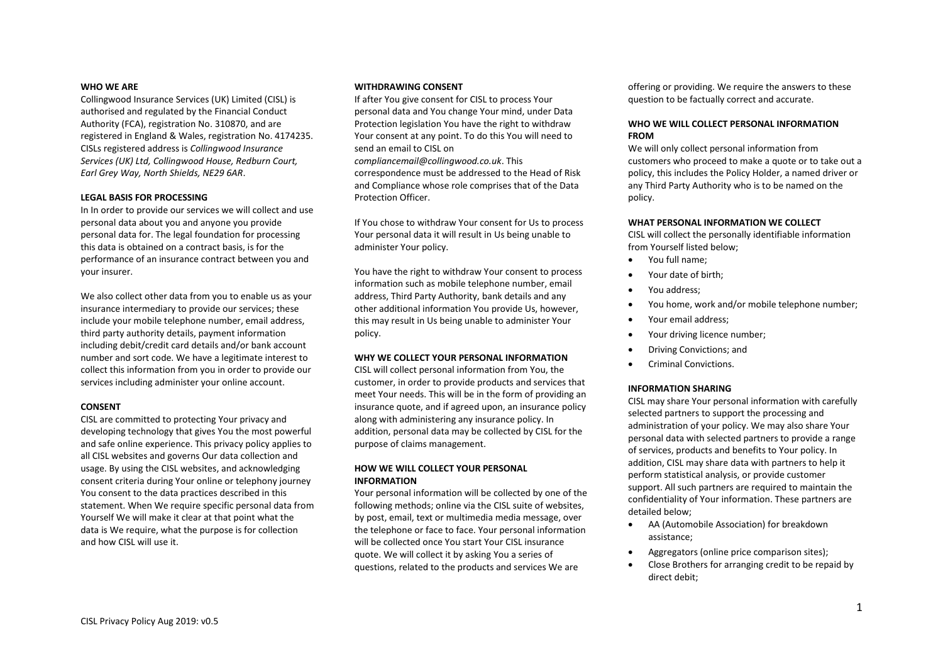#### **WHO WE ARE**

Collingwood Insurance Services (UK) Limited (CISL) is authorised and regulated by the Financial Conduct Authority (FCA), registration No. 310870, and are registered in England & Wales, registration No. 4174235. CISLs registered address is *Collingwood Insurance Services (UK) Ltd, Collingwood House, Redburn Court, Earl Grey Way, North Shields, NE29 6AR*.

#### **LEGAL BASIS FOR PROCESSING**

In In order to provide our services we will collect and use personal data about you and anyone you provide personal data for. The legal foundation for processing this data is obtained on a contract basis, is for the performance of an insurance contract between you and your insurer.

We also collect other data from you to enable us as your insurance intermediary to provide our services; these include your mobile telephone number, email address, third party authority details, payment information including debit/credit card details and/or bank account number and sort code. We have a legitimate interest to collect this information from you in order to provide our services including administer your online account.

### **CONSENT**

CISL are committed to protecting Your privacy and developing technology that gives You the most powerful and safe online experience. This privacy policy applies to all CISL websites and governs Our data collection and usage. By using the CISL websites, and acknowledging consent criteria during Your online or telephony journey You consent to the data practices described in this statement. When We require specific personal data from Yourself We will make it clear at that point what the data is We require, what the purpose is for collection and how CISL will use it.

#### **WITHDRAWING CONSENT**

If after You give consent for CISL to process Your personal data and You change Your mind, under Data Protection legislation You have the right to withdraw Your consent at any point. To do this You will need to send an email to CISL on *compliancemail@collingwood.co.uk*. This correspondence must be addressed to the Head of Risk

and Compliance whose role comprises that of the Data Protection Officer.

If You chose to withdraw Your consent for Us to process Your personal data it will result in Us being unable to administer Your policy.

You have the right to withdraw Your consent to process information such as mobile telephone number, email address, Third Party Authority, bank details and any other additional information You provide Us, however, this may result in Us being unable to administer Your policy.

#### **WHY WE COLLECT YOUR PERSONAL INFORMATION**

CISL will collect personal information from You, the customer, in order to provide products and services that meet Your needs. This will be in the form of providing an insurance quote, and if agreed upon, an insurance policy along with administering any insurance policy. In addition, personal data may be collected by CISL for the purpose of claims management.

### **HOW WE WILL COLLECT YOUR PERSONAL INFORMATION**

Your personal information will be collected by one of the following methods; online via the CISL suite of websites, by post, email, text or multimedia media message, over the telephone or face to face. Your personal information will be collected once You start Your CISL insurance quote. We will collect it by asking You a series of questions, related to the products and services We are

offering or providing. We require the answers to these question to be factually correct and accurate.

### **WHO WE WILL COLLECT PERSONAL INFORMATION FROM**

We will only collect personal information from customers who proceed to make a quote or to take out a policy, this includes the Policy Holder, a named driver or any Third Party Authority who is to be named on the policy.

#### **WHAT PERSONAL INFORMATION WE COLLECT**

CISL will collect the personally identifiable information from Yourself listed below;

- You full name;
- Your date of birth;
- You address;
- You home, work and/or mobile telephone number;
- Your email address;
- Your driving licence number;
- Driving Convictions; and
- Criminal Convictions.

#### **INFORMATION SHARING**

CISL may share Your personal information with carefully selected partners to support the processing and administration of your policy. We may also share Your personal data with selected partners to provide a range of services, products and benefits to Your policy. In addition, CISL may share data with partners to help it perform statistical analysis, or provide customer support. All such partners are required to maintain the confidentiality of Your information. These partners are detailed below;

- AA (Automobile Association) for breakdown assistance;
- Aggregators (online price comparison sites);
- Close Brothers for arranging credit to be repaid by direct debit;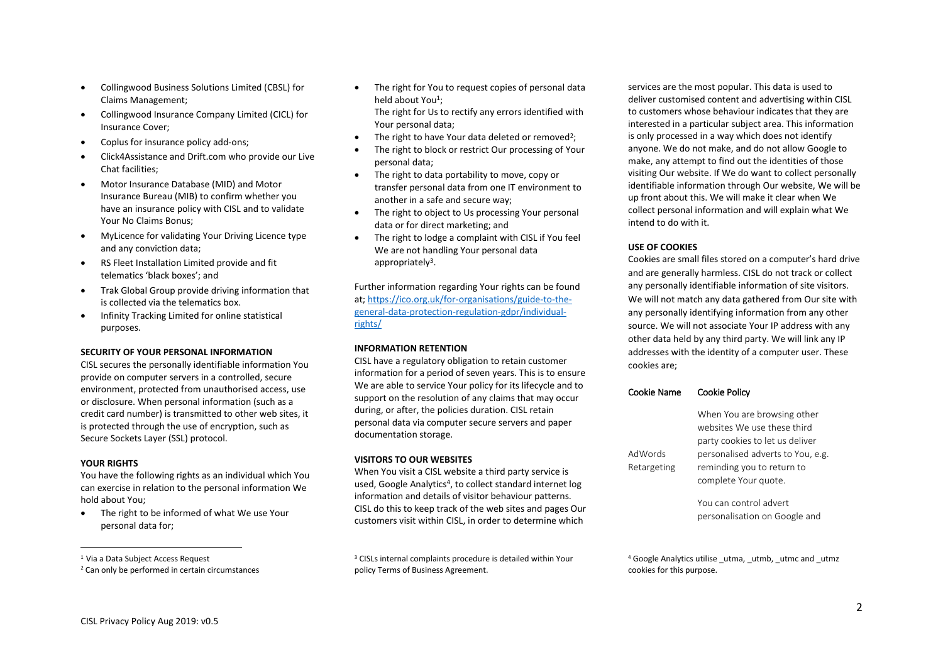- Collingwood Business Solutions Limited (CBSL) for Claims Management;
- Collingwood Insurance Company Limited (CICL) for Insurance Cover;
- Coplus for insurance policy add-ons;
- Click4Assistance and Drift.com who provide our Live Chat facilities;
- Motor Insurance Database (MID) and Motor Insurance Bureau (MIB) to confirm whether you have an insurance policy with CISL and to validate Your No Claims Bonus;
- MyLicence for validating Your Driving Licence type and any conviction data;
- RS Fleet Installation Limited provide and fit telematics 'black boxes'; and
- Trak Global Group provide driving information that is collected via the telematics box.
- Infinity Tracking Limited for online statistical purposes.

### **SECURITY OF YOUR PERSONAL INFORMATION**

CISL secures the personally identifiable information You provide on computer servers in a controlled, secure environment, protected from unauthorised access, use or disclosure. When personal information (such as a credit card number) is transmitted to other web sites, it is protected through the use of encryption, such as Secure Sockets Layer (SSL) protocol.

### **YOUR RIGHTS**

 $\overline{\phantom{a}}$ 

You have the following rights as an individual which You can exercise in relation to the personal information We hold about You;

• The right to be informed of what We use Your personal data for;

• The right for You to request copies of personal data held about You<sup>1</sup>;

The right for Us to rectify any errors identified with Your personal data;

- $\bullet$  The right to have Your data deleted or removed<sup>2</sup>;
- The right to block or restrict Our processing of Your personal data;
- The right to data portability to move, copy or transfer personal data from one IT environment to another in a safe and secure way;
- The right to object to Us processing Your personal data or for direct marketing; and
- The right to lodge a complaint with CISL if You feel We are not handling Your personal data appropriately<sup>3</sup>.

Further information regarding Your rights can be found at[; https://ico.org.uk/for-organisations/guide-to-the](https://ico.org.uk/for-organisations/guide-to-the-general-data-protection-regulation-gdpr/individual-rights/)[general-data-protection-regulation-gdpr/individual](https://ico.org.uk/for-organisations/guide-to-the-general-data-protection-regulation-gdpr/individual-rights/)[rights/](https://ico.org.uk/for-organisations/guide-to-the-general-data-protection-regulation-gdpr/individual-rights/)

### **INFORMATION RETENTION**

CISL have a regulatory obligation to retain customer information for a period of seven years. This is to ensure We are able to service Your policy for its lifecycle and to support on the resolution of any claims that may occur during, or after, the policies duration. CISL retain personal data via computer secure servers and paper documentation storage.

## **VISITORS TO OUR WEBSITES**

When You visit a CISL website a third party service is used, Google Analytics<sup>4</sup>, to collect standard internet log information and details of visitor behaviour patterns. CISL do this to keep track of the web sites and pages Our customers visit within CISL, in order to determine which

<sup>3</sup> CISLs internal complaints procedure is detailed within Your policy Terms of Business Agreement.

services are the most popular. This data is used to deliver customised content and advertising within CISL to customers whose behaviour indicates that they are interested in a particular subject area. This information is only processed in a way which does not identify anyone. We do not make, and do not allow Google to make, any attempt to find out the identities of those visiting Our website. If We do want to collect personally identifiable information through Our website, We will be up front about this. We will make it clear when We collect personal information and will explain what We intend to do with it.

### **USE OF COOKIES**

Cookies are small files stored on a computer's hard drive and are generally harmless. CISL do not track or collect any personally identifiable information of site visitors. We will not match any data gathered from Our site with any personally identifying information from any other source. We will not associate Your IP address with any other data held by any third party. We will link any IP addresses with the identity of a computer user. These cookies are;

### Cookie Name Cookie Policy

|             | When You are browsing other       |
|-------------|-----------------------------------|
|             | websites We use these third       |
|             | party cookies to let us deliver   |
| AdWords     | personalised adverts to You, e.g. |
| Retargeting | reminding you to return to        |
|             | complete Your quote.              |
|             |                                   |
|             | You can control advert            |
|             | personalisation on Google and     |

<sup>4</sup> Google Analytics utilise utma, utmb, utmc and utmz cookies for this purpose.

<sup>1</sup> Via a Data Subject Access Request

<sup>&</sup>lt;sup>2</sup> Can only be performed in certain circumstances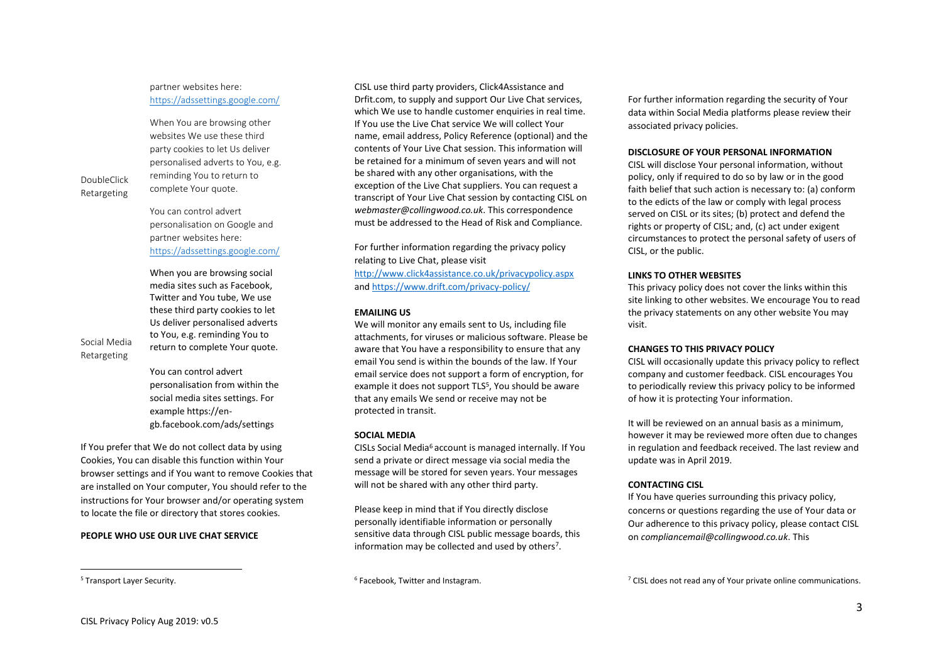### **PEOPLE WHO USE OUR LIVE CHAT SERVICE**

DoubleClick Retargeting

Social Media Retargeting

 $\overline{\phantom{a}}$ <sup>5</sup> Transport Layer Security.

### partner websites here: <https://adssettings.google.com/>

When You are browsing other websites We use these third party cookies to let Us deliver personalised adverts to You, e.g. reminding You to return to complete Your quote.

You can control advert personalisation on Google and partner websites here: <https://adssettings.google.com/>

When you are browsing social media sites such as Facebook, Twitter and You tube, We use these third party cookies to let Us deliver personalised adverts to You, e.g. reminding You to return to complete Your quote.

You can control advert personalisation from within the social media sites settings. For example https://engb.facebook.com/ads/settings

If You prefer that We do not collect data by using Cookies, You can disable this function within Your browser settings and if You want to remove Cookies that are installed on Your computer, You should refer to the instructions for Your browser and/or operating system to locate the file or directory that stores cookies.

CISL use third party providers, Click4Assistance and Drfit.com, to supply and support Our Live Chat services, which We use to handle customer enquiries in real time. If You use the Live Chat service We will collect Your name, email address, Policy Reference (optional) and the contents of Your Live Chat session. This information will be retained for a minimum of seven years and will not be shared with any other organisations, with the exception of the Live Chat suppliers. You can request a transcript of Your Live Chat session by contacting CISL on *webmaster@collingwood.co.uk*. This correspondence must be addressed to the Head of Risk and Compliance.

For further information regarding the privacy policy relating to Live Chat, please visit <http://www.click4assistance.co.uk/privacypolicy.aspx> an[d https://www.drift.com/privacy-policy/](https://www.drift.com/privacy-policy/)

## **EMAILING US**

We will monitor any emails sent to Us, including file attachments, for viruses or malicious software. Please be aware that You have a responsibility to ensure that any email You send is within the bounds of the law. If Your email service does not support a form of encryption, for example it does not support TLS<sup>5</sup>, You should be aware that any emails We send or receive may not be protected in transit.

## **SOCIAL MEDIA**

CISLs Social Media<sup>6</sup> account is managed internally. If You send a private or direct message via social media the message will be stored for seven years. Your messages will not be shared with any other third party.

Please keep in mind that if You directly disclose personally identifiable information or personally sensitive data through CISL public message boards, this information may be collected and used by others<sup>7</sup>.

For further information regarding the security of Your data within Social Media platforms please review their associated privacy policies.

## **DISCLOSURE OF YOUR PERSONAL INFORMATION**

CISL will disclose Your personal information, without policy, only if required to do so by law or in the good faith belief that such action is necessary to: (a) conform to the edicts of the law or comply with legal process served on CISL or its sites; (b) protect and defend the rights or property of CISL; and, (c) act under exigent circumstances to protect the personal safety of users of CISL, or the public.

# **LINKS TO OTHER WEBSITES**

This privacy policy does not cover the links within this site linking to other websites. We encourage You to read the privacy statements on any other website You may visit.

## **CHANGES TO THIS PRIVACY POLICY**

CISL will occasionally update this privacy policy to reflect company and customer feedback. CISL encourages You to periodically review this privacy policy to be informed of how it is protecting Your information.

It will be reviewed on an annual basis as a minimum, however it may be reviewed more often due to changes in regulation and feedback received. The last review and update was in April 2019.

# **CONTACTING CISL**

If You have queries surrounding this privacy policy, concerns or questions regarding the use of Your data or Our adherence to this privacy policy, please contact CISL on *compliancemail@collingwood.co.uk*. This

 $7$  CISL does not read any of Your private online communications.

<sup>6</sup> Facebook, Twitter and Instagram.